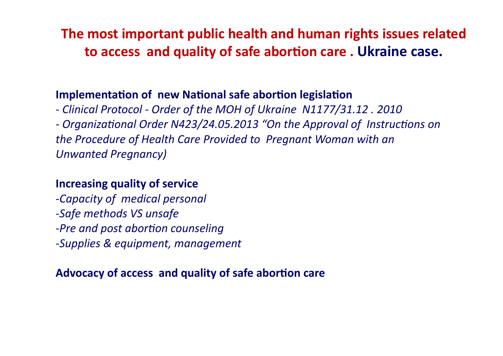The most important public health and human rights issues related to access and quality of safe abortion care. Ukraine case.

## Implementation of new National safe abortion legislation

- Clinical Protocol - Order of the MOH of Ukraine N1177/31.12. 2010 - Organizational Order N423/24.05.2013 "On the Approval of Instructions on the Procedure of Health Care Provided to Pregnant Woman with an **Unwanted Pregnancy)** 

## **Increasing quality of service**

-Capacity of medical personal -Safe methods VS unsafe -Pre and post abortion counseling -Supplies & equipment, management

## Advocacy of access and quality of safe abortion care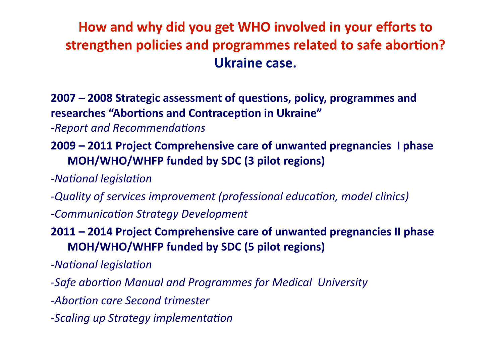## How and why did you get WHO involved in your efforts to strengthen policies and programmes related to safe abortion? Ukraine case.

2007 - 2008 Strategic assessment of questions, policy, programmes and researches "Abortions and Contraception in Ukraine"

- -Report and Recommendations
- 2009 2011 Project Comprehensive care of unwanted pregnancies I phase MOH/WHO/WHFP funded by SDC (3 pilot regions)
- -National legislation
- -Quality of services improvement (professional education, model clinics)
- -Communication Strategy Development
- 2011 2014 Project Comprehensive care of unwanted pregnancies II phase MOH/WHO/WHFP funded by SDC (5 pilot regions)
- -National legislation
- -Safe abortion Manual and Programmes for Medical University
- -Abortion care Second trimester
- -Scaling up Strategy implementation